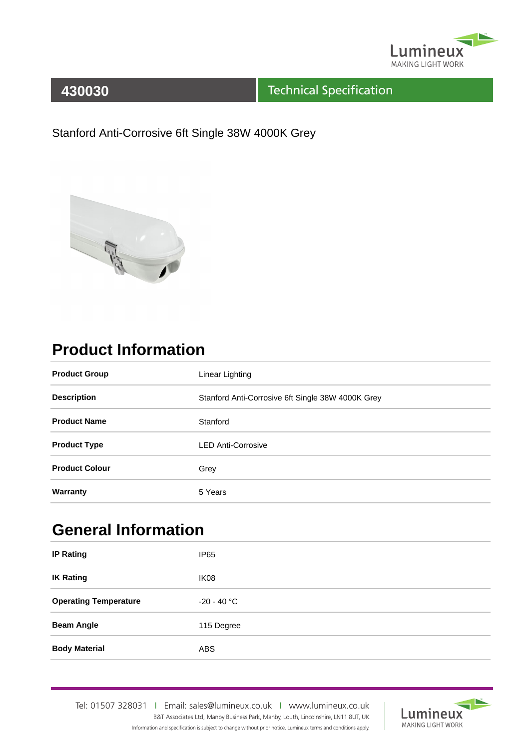

#### Technical Specification

Stanford Anti-Corrosive 6ft Single 38W 4000K Grey



## **Product Information**

| <b>Product Group</b>  | Linear Lighting                                   |
|-----------------------|---------------------------------------------------|
| <b>Description</b>    | Stanford Anti-Corrosive 6ft Single 38W 4000K Grey |
| <b>Product Name</b>   | Stanford                                          |
| <b>Product Type</b>   | <b>LED Anti-Corrosive</b>                         |
| <b>Product Colour</b> | Grey                                              |
| Warranty              | 5 Years                                           |

# **General Information**

| <b>IP Rating</b>             | IP <sub>65</sub> |
|------------------------------|------------------|
| <b>IK Rating</b>             | IK08             |
| <b>Operating Temperature</b> | $-20 - 40 °C$    |
| <b>Beam Angle</b>            | 115 Degree       |
| <b>Body Material</b>         | <b>ABS</b>       |

Tel: 01507 328031IEmail: sales@lumineux.co.ukIwww.lumineux.co.uk B&T Associates Ltd, Manby Business Park, Manby, Louth, Lincolnshire, LN11 8UT, UK Information and specification is subject to change without prior notice. Lumineux terms and conditions apply.

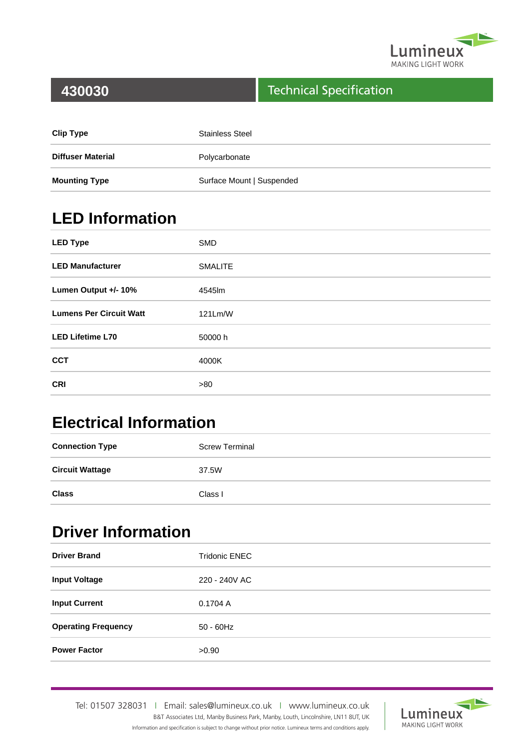

#### Technical Specification

| <b>Clip Type</b>         | <b>Stainless Steel</b>    |
|--------------------------|---------------------------|
| <b>Diffuser Material</b> | Polycarbonate             |
| <b>Mounting Type</b>     | Surface Mount   Suspended |

# **LED Information**

| <b>LED Type</b>                | <b>SMD</b>     |
|--------------------------------|----------------|
| <b>LED Manufacturer</b>        | <b>SMALITE</b> |
| Lumen Output +/- 10%           | 4545lm         |
| <b>Lumens Per Circuit Watt</b> | 121Lm/W        |
| <b>LED Lifetime L70</b>        | 50000 h        |
| <b>CCT</b>                     | 4000K          |
| <b>CRI</b>                     | >80            |

## **Electrical Information**

| <b>Connection Type</b> | <b>Screw Terminal</b> |
|------------------------|-----------------------|
| <b>Circuit Wattage</b> | 37.5W                 |
| <b>Class</b>           | Class I               |

## **Driver Information**

| <b>Driver Brand</b>        | <b>Tridonic ENEC</b> |
|----------------------------|----------------------|
| <b>Input Voltage</b>       | 220 - 240V AC        |
| <b>Input Current</b>       | 0.1704A              |
| <b>Operating Frequency</b> | $50 - 60$ Hz         |
| <b>Power Factor</b>        | >0.90                |

Tel: 01507 328031IEmail: sales@lumineux.co.ukIwww.lumineux.co.uk B&T Associates Ltd, Manby Business Park, Manby, Louth, Lincolnshire, LN11 8UT, UK Information and specification is subject to change without prior notice. Lumineux terms and conditions apply.

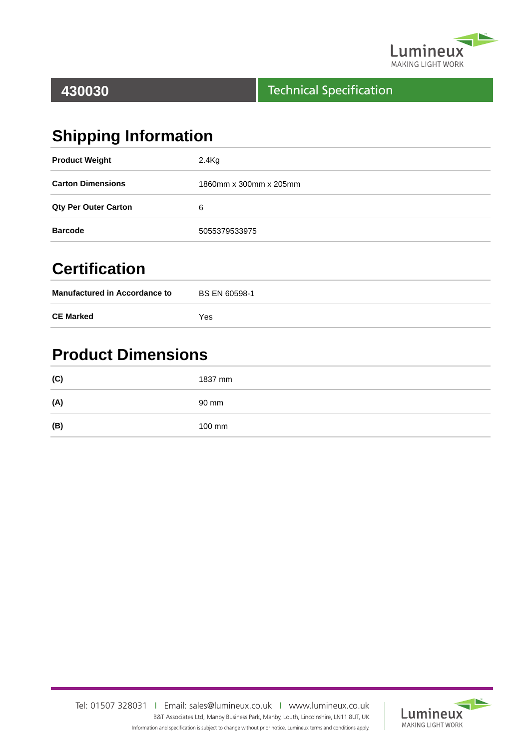

### Technical Specification

# **Shipping Information**

| <b>Product Weight</b>       | $2.4$ Kg               |
|-----------------------------|------------------------|
| <b>Carton Dimensions</b>    | 1860mm x 300mm x 205mm |
| <b>Qty Per Outer Carton</b> | 6                      |
| <b>Barcode</b>              | 5055379533975          |

## **Certification**

| <b>Manufactured in Accordance to</b> | BS EN 60598-1 |
|--------------------------------------|---------------|
| <b>CE Marked</b>                     | Yes           |

## **Product Dimensions**

| (C) | 1837 mm |
|-----|---------|
| (A) | 90 mm   |
| (B) | 100 mm  |